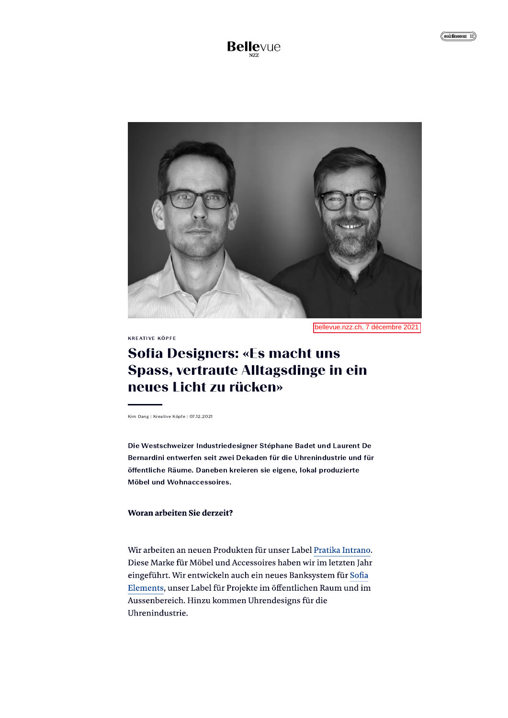

bellevue.nzz.ch, 7 décembre 2021

KREATIVE KOPFE

# **Sofia Designers: «Es macht uns** Spass, vertraute Alltagsdinge in ein<br>neues Licht zu rücken»

Kim Dang | Kreative Köpfe | 07.12.2021

Die Westschweizer Industriedesigner Stéphane Badet und Laurent De Bernardini entwerfen seit zwei Dekaden für die Uhrenindustrie und für offentliche Raume. Daneben kreieren sie eigene, lokal produzierte Möbel und Wohnaccessoires.

### Woran arbeiten Sie derzeit?

Wir arbeiten an neuen Produkten für unser Label Pratika Intrano. Diese Marke für Möbel und Accessoires haben wir im letzten Jahr eingeführt. Wir entwickeln auch ein neues Banksystem für Sofia Elements, ûnser Label fûr Projekte im offentlichen Raum und im Aussenbereich. Hinzu kommen Uhrendesigns für die Uhrenindustrie.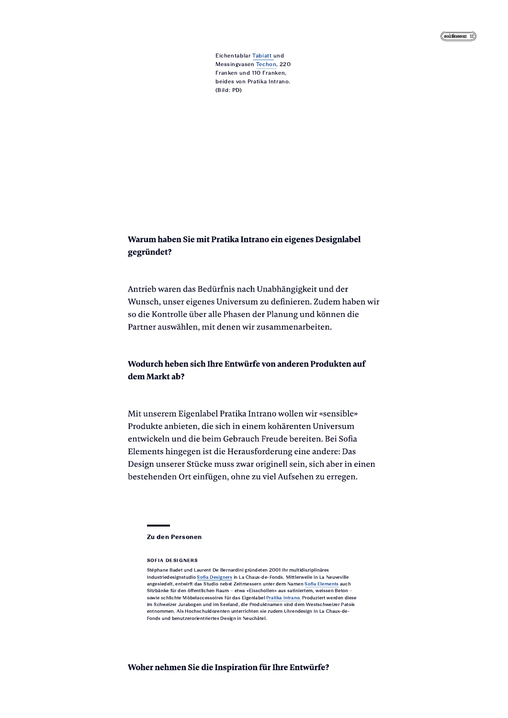# Warum haben Sie mit Pratika Intrano ein eigenes Designlabel gegründet?

Antrieb waren das Bedürfnis nach Unabhängigkeit und der Wunsch, unser eigenes Universum zu definieren. Zudem haben wir so die Kontrolle über alle Phasen der Planung und können die Partner auswählen, mit denen wir zusammenarbeiten.

# Wodurch heben sich Ihre Entwürfe von anderen Produkten auf dem Markt ab?

Mit unserem Eigenlabel Pratika Intrano wollen wir «sensible» Produkte anbieten, die sich in einem kohärenten Universum entwickeln und die beim Gebrauch Freude bereiten. Bei Sofia Elements hingegen ist die Herausforderung eine andere: Das Design unserer Stücke muss zwar originell sein, sich aber in einen bestehenden Ort einfügen, ohne zu viel Aufsehen zu erregen.

#### **Zu den Personen**

#### **SOFIA DESIGNERS**

Stéphane Badet und Laurent De Bernardini gründeten 2001 ihr multidisziplinäres Industriedesignstudio Sofia Designers in La Chaux-de-Fonds. Mittlerweile in La Neuveville angesiedelt, entwirft das Studio nebst Zeitmessern unter dem Namen Sofia Elements auch Sitzbänke für den öffentlichen Raum - etwa «Eisschollen» aus satiniertem, weissen Beton sowie schlichte Möbelaccessoires für das Eigenlabel Pratika Intrano. Produziert werden diese im Schweizer Jurabogen und im Seeland, die Produktnamen sind dem Westschweizer Patois entnommen. Als Hochschuldozenten unterrichten sie zudem Uhrendesign in La Chaux-de-Fonds und benutzerorientriertes Design in Neuchâtel.

#### Woher nehmen Sie die Inspiration für Ihre Entwürfe?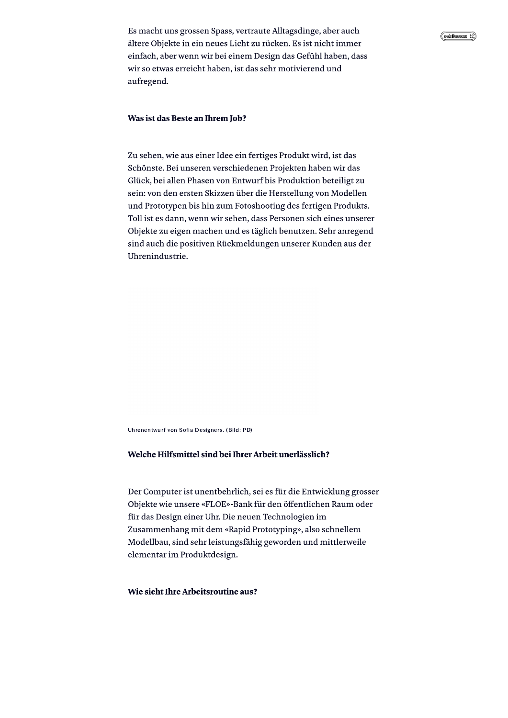Es macht uns grossen Spass, vertraute Alltagsdinge, aber auch ältere Objekte in ein neues Licht zu rücken. Es ist nicht immer einfach, aber wenn wir bei einem Design das Gefühl haben, dass wir so etwas erreicht haben, ist das sehr motivierend und aufregend.

## Was ist das Beste an Ihrem Job?

Zu sehen, wie aus einer Idee ein fertiges Produkt wird, ist das Schönste. Bei unseren verschiedenen Projekten haben wir das Glück, bei allen Phasen von Entwurf bis Produktion beteiligt zu sein: von den ersten Skizzen über die Herstellung von Modellen und Prototypen bis hin zum Fotoshooting des fertigen Produkts. Toll ist es dann, wenn wir sehen, dass Personen sich eines unserer Objekte zu eigen machen und es täglich benutzen. Sehr anregend sind auch die positiven Rückmeldungen unserer Kunden aus der Uhrenindustrie.

Uhrenentwurf von Sofia Designers. (Bild: PD)

## Welche Hilfsmittel sind bei Ihrer Arbeit unerlässlich?

Der Computer ist unentbehrlich, sei es für die Entwicklung grosser Objekte wie unsere «FLOE»-Bank für den öffentlichen Raum oder für das Design einer Uhr. Die neuen Technologien im Zusammenhang mit dem «Rapid Prototyping», also schnellem Modellbau, sind sehr leistungsfähig geworden und mittlerweile elementar im Produktdesign.

### Wie sieht Ihre Arbeitsroutine aus?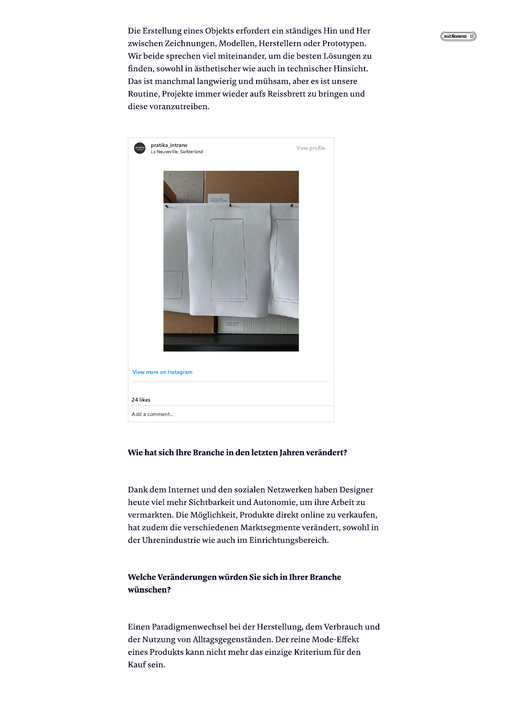Die Erstellung eines Objekts erfordert ein ständiges Hin und Her zwischen Zeichnungen, Modellen, Herstellern oder Prototypen. Wir beide sprechen viel miteinander, um die besten Lösungen zu finden, sowohl in ästhetischer wie auch in technischer Hinsicht. Das ist manchmal langwierig und mühsam, aber es ist unsere Routine, Projekte immer wieder aufs Reissbrett zu bringen und diese voranzutreiben.



# Wie hat sich Ihre Branche in den letzten Jahren verändert?

Dank dem Internet und den sozialen Netzwerken haben Designer heute viel mehr Sichtbarkeit und Autonomie, um ihre Arbeit zu vermarkten. Die Möglichkeit, Produkte direkt online zu verkaufen, hat zudem die verschiedenen Marktsegmente verändert, sowohl in der Uhrenindustrie wie auch im Einrichtungsbereich.

# Welche Veränderungen würden Sie sich in Ihrer Branche wünschen?

Einen Paradigmenwechsel bei der Herstellung, dem Verbrauch und der Nutzung von Alltagsgegenständen. Der reine Mode-Effekt eines Produkts kann nicht mehr das einzige Kriterium für den Kauf sein.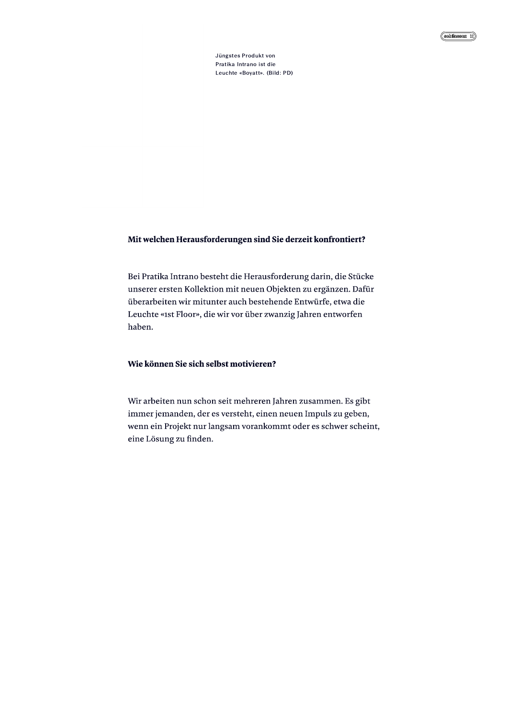#### Mit welchen Herausforderungen sind Sie derzeit konfrontiert?

Bei Pratika Intrano besteht die Herausforderung darin, die Stücke unserer ersten Kollektion mit neuen Objekten zu ergänzen. Dafür überarbeiten wir mitunter auch bestehende Entwürfe, etwa die Leuchte «1st Floor», die wir vor über zwanzig Jahren entworfen haben.

#### Wie können Sie sich selbst motivieren?

Wir arbeiten nun schon seit mehreren Jahren zusammen. Es gibt immer jemanden, der es versteht, einen neuen Impuls zu geben, wenn ein Projekt nur langsam vorankommt oder es schwer scheint, eine Lösung zu finden.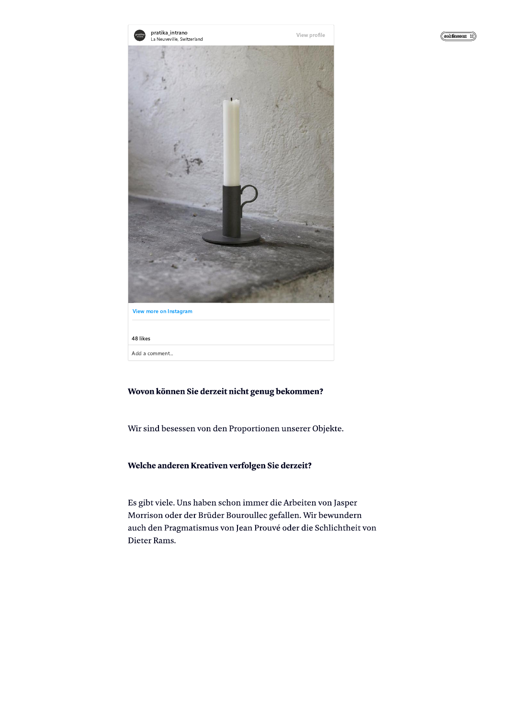



# Wovon können Sie derzeit nicht genug bekommen?

Wir sind besessen von den Proportionen unserer Objekte.

## Welche anderen Kreativen verfolgen Sie derzeit?

Es gibt viele. Uns haben schon immer die Arbeiten von Jasper Morrison oder der Brüder Bouroullec gefallen. Wir bewundern auch den Pragmatismus von Jean Prouvé oder die Schlichtheit von Dieter Rams.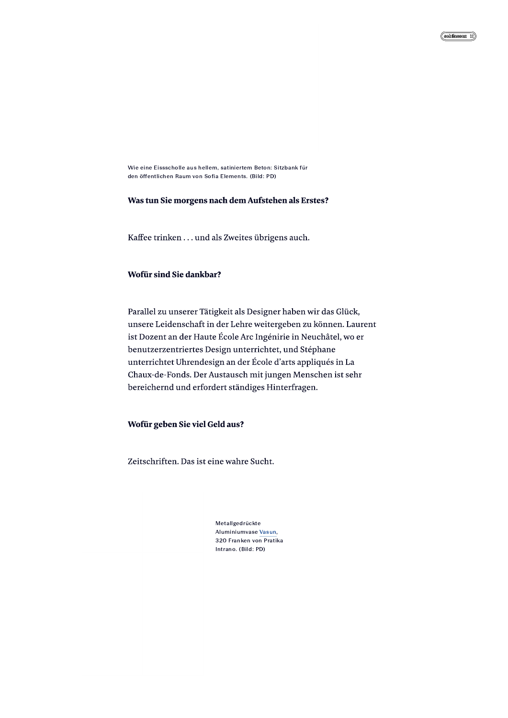Wie eine Eissscholle aus hellem, satiniertem Beton: Sitzbank für den öffentlichen Raum von Sofia Elements, (Bild: PD)

#### Was tun Sie morgens nach dem Aufstehen als Erstes?

Kaffee trinken . . . und als Zweites übrigens auch.

#### Wofür sind Sie dankbar?

Parallel zu unserer Tätigkeit als Designer haben wir das Glück, unsere Leidenschaft in der Lehre weitergeben zu können. Laurent ist Dozent an der Haute École Arc Ingénirie in Neuchâtel, wo er benutzerzentriertes Design unterrichtet, und Stéphane unterrichtet Uhrendesign an der École d'arts appliqués in La Chaux-de-Fonds. Der Austausch mit jungen Menschen ist sehr bereichernd und erfordert ständiges Hinterfragen.

#### Wofür geben Sie viel Geld aus?

Zeitschriften. Das ist eine wahre Sucht.